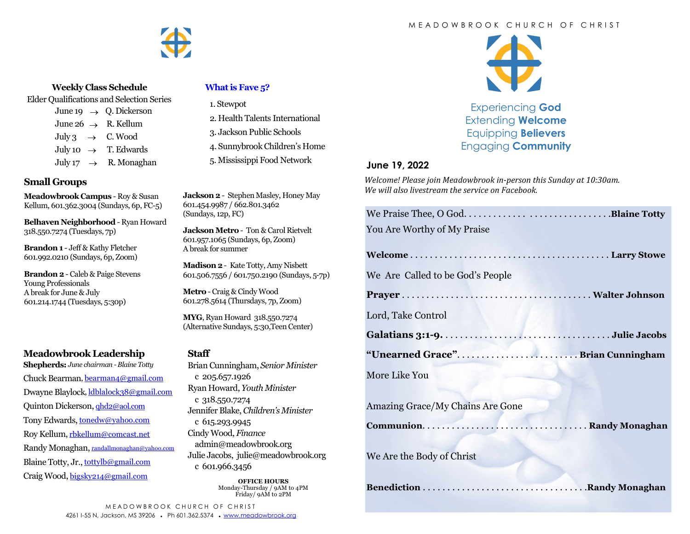#### M E A D O W B R O O K C H U R C H O F C H R I S T



#### **Weekly Class Schedule**

Elder Qualifications and Selection Series

June 19  $\rightarrow$  O. Dickerson June 26  $\rightarrow$  R. Kellum July 3  $\rightarrow$  C. Wood July 10  $\rightarrow$  T. Edwards July 17  $\rightarrow$  R. Monaghan

### **Small Groups**

**Meadowbrook Campus** - Roy & Susan Kellum, 601.362.3004 (Sundays, 6p, FC-5)

**Belhaven Neighborhood** - Ryan Howard 318.550.7274 (Tuesdays, 7p)

**Brandon 1** - Jeff & Kathy Fletcher 601.992.0210 (Sundays, 6p, Zoom)

**Brandon 2** - Caleb & Paige Stevens Young Professionals A break for June & July 601.214.1744 (Tuesdays, 5:30p)

## **Meadowbrook Leadership**

**Shepherds:** *June chairman -Blaine Totty* Chuck Bearman, [bearman4@gmail.com](mailto:bearman4@gmail.com) Dwayne Blaylock, [ldblalock38@gmail.com](mailto:ldblaylock38@gmail.com) Quinton Dickerson, [qhd2@aol.com](mailto:qhd2@aol.com) Tony Edwards, [tonedw@yahoo.com](mailto:tonedw@yahoo.com) Roy Kellum, [rbkellum@comcast.net](mailto:rbkellum@comcast.net) Randy Monaghan, [randallmonaghan@yahoo.com](mailto:randallmonaghan@yahoo.com) Blaine Totty, Jr., [tottylb@gmail.com](mailto:tottylb@gmail.com) Craig Wood, [bigsky214@gmail.com](mailto:bigsky214@gmail.com)

### **[What is Fave 5?](https://meadowbrook.ccbchurch.com/group_detail.php?group_id=131)**

1. Stewpot

- 2. Health Talents International
- 3. Jackson Public Schools
- 4. Sunnybrook Children's Home
- 5. Mississippi Food Network

**Jackson 2** - Stephen Masley, Honey May 601.454.9987 / 662.801.3462 (Sundays, 12p, FC)

**Jackson Metro** - Ton & Carol Rietvelt 601.957.1065 (Sundays, 6p, Zoom) A break for summer

**Madison 2**- Kate Totty, Amy Nisbett 601.506.7556 / 601.750.2190 (Sundays, 5-7p)

**Metro** - Craig & Cindy Wood 601.278.5614 (Thursdays, 7p, Zoom)

**MYG**, Ryan Howard 318.550.7274 (Alternative Sundays, 5:30,Teen Center)

#### **Staff**

Brian Cunningham, *Senior Minister*  c 205.657.1926 Ryan Howard, *Youth Minister*  c 318.550.7274 Jennifer Blake, *Children's Minister*  c 615.293.9945 Cindy Wood, *Finance*  admin@meadowbrook.org Julie Jacobs, julie@meadowbrook.org c 601.966.3456

> **OFFICE HOURS** Monday-Thursday / 9AM to 4PM Friday/ 9AM to 2PM



Experiencing **God** Extending **Welcome** Equipping **Believers** Engaging **Community**

### **June 19, 2022**

*Welcome! Please join Meadowbrook in-person this Sunday at 10:30am. We will also livestream the service on Facebook.*

| You Are Worthy of My Praise             |  |
|-----------------------------------------|--|
|                                         |  |
| We Are Called to be God's People        |  |
|                                         |  |
| Lord, Take Control                      |  |
|                                         |  |
| "Unearned Grace" Brian Cunningham       |  |
| More Like You                           |  |
| <b>Amazing Grace/My Chains Are Gone</b> |  |
| We Are the Body of Christ               |  |
|                                         |  |